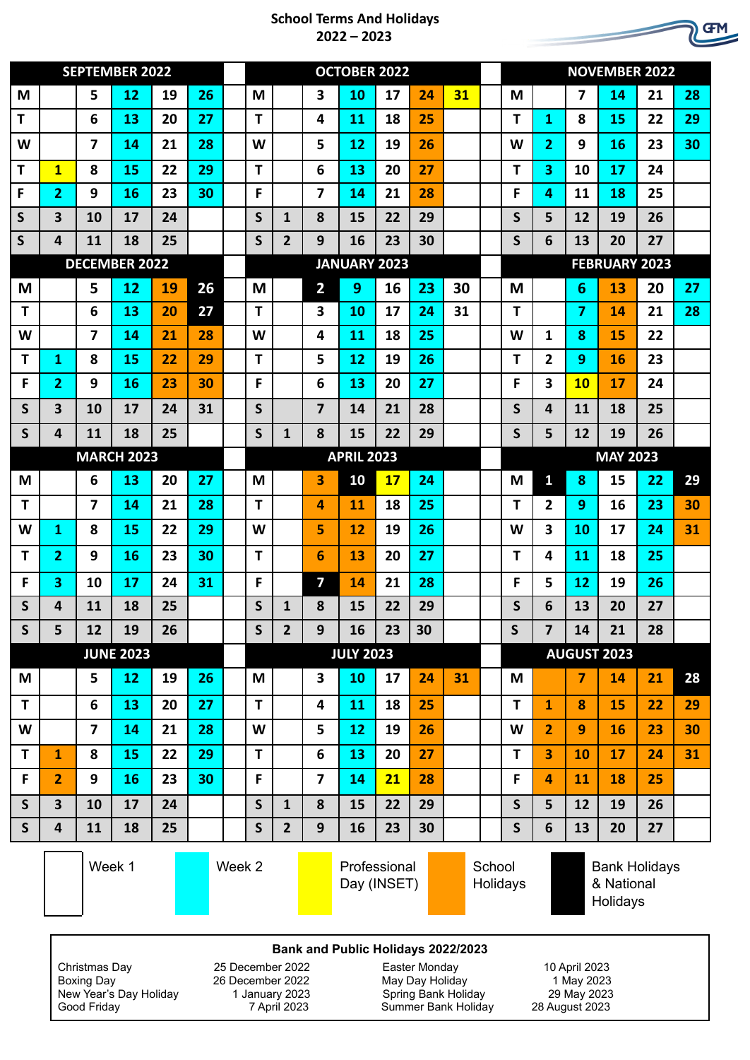## **School Terms And Holidays 2022 – 2023**

|              | <b>SEPTEMBER 2022</b>   |                         |    |    |        |  | <b>OCTOBER 2022</b> |                             |                         |    |    |    |                    |  | <b>NOVEMBER 2022</b> |                                                |                  |    |    |    |
|--------------|-------------------------|-------------------------|----|----|--------|--|---------------------|-----------------------------|-------------------------|----|----|----|--------------------|--|----------------------|------------------------------------------------|------------------|----|----|----|
| M            |                         | 5                       | 12 | 19 | 26     |  | M                   |                             | 3                       | 10 | 17 | 24 | 31                 |  | M                    |                                                | 7                | 14 | 21 | 28 |
| т            |                         | 6                       | 13 | 20 | 27     |  | т                   |                             | 4                       | 11 | 18 | 25 |                    |  | т                    | 1                                              | 8                | 15 | 22 | 29 |
| W            |                         | 7                       | 14 | 21 | 28     |  | W                   |                             | 5                       | 12 | 19 | 26 |                    |  | W                    | 2                                              | 9                | 16 | 23 | 30 |
| т            | $\mathbf{1}$            | 8                       | 15 | 22 | 29     |  | т                   |                             | 6                       | 13 | 20 | 27 |                    |  | т                    | 3                                              | 10               | 17 | 24 |    |
| F            | 2                       | 9                       | 16 | 23 | 30     |  | F                   |                             | 7                       | 14 | 21 | 28 |                    |  | F                    | 4                                              | 11               | 18 | 25 |    |
| S            | 3                       | 10                      | 17 | 24 |        |  | S                   | $\mathbf{1}$                | 8                       | 15 | 22 | 29 |                    |  | S                    | 5                                              | 12               | 19 | 26 |    |
| S            | 4                       | 11                      | 18 | 25 |        |  | S                   | 2                           | 9                       | 16 | 23 | 30 |                    |  | S                    | 6                                              | 13               | 20 | 27 |    |
|              | <b>DECEMBER 2022</b>    |                         |    |    |        |  |                     | <b>JANUARY 2023</b>         |                         |    |    |    |                    |  | <b>FEBRUARY 2023</b> |                                                |                  |    |    |    |
| M            |                         | 5                       | 12 | 19 | 26     |  | M                   |                             | $\overline{2}$          | 9  | 16 | 23 | 30                 |  | M                    |                                                | 6                | 13 | 20 | 27 |
| $\mathbf T$  |                         | 6                       | 13 | 20 | 27     |  | т                   |                             | 3                       | 10 | 17 | 24 | 31                 |  | Τ                    |                                                | 7                | 14 | 21 | 28 |
| W            |                         | 7                       | 14 | 21 | 28     |  | W                   |                             | 4                       | 11 | 18 | 25 |                    |  | W                    | 1                                              | 8                | 15 | 22 |    |
| $\mathbf T$  | 1                       | 8                       | 15 | 22 | 29     |  | т                   |                             | 5                       | 12 | 19 | 26 |                    |  | т                    | $\mathbf{2}$                                   | 9                | 16 | 23 |    |
| F            | 2                       | 9                       | 16 | 23 | 30     |  | F                   |                             | 6                       | 13 | 20 | 27 |                    |  | F                    | 3                                              | <b>10</b>        | 17 | 24 |    |
| S            | 3                       | 10                      | 17 | 24 | 31     |  | S                   |                             | 7                       | 14 | 21 | 28 |                    |  | S                    | 4                                              | 11               | 18 | 25 |    |
| S            | 4                       | 11                      | 18 | 25 |        |  | S                   | 1                           | 8                       | 15 | 22 | 29 |                    |  | S                    | 5                                              | 12               | 19 | 26 |    |
|              | <b>MARCH 2023</b>       |                         |    |    |        |  | <b>APRIL 2023</b>   |                             |                         |    |    |    |                    |  | <b>MAY 2023</b>      |                                                |                  |    |    |    |
| M            |                         | 6                       | 13 | 20 | 27     |  | M                   |                             | 3                       | 10 | 17 | 24 |                    |  | M                    | $\mathbf{1}$                                   | 8                | 15 | 22 | 29 |
| Τ            |                         | $\overline{7}$          | 14 | 21 | 28     |  | т                   |                             | 4                       | 11 | 18 | 25 |                    |  | т                    | $\overline{2}$                                 | 9                | 16 | 23 | 30 |
| W            | 1                       | 8                       | 15 | 22 | 29     |  | W                   |                             | 5                       | 12 | 19 | 26 |                    |  | W                    | 3                                              | 10               | 17 | 24 | 31 |
| Τ            | 2                       | 9                       | 16 | 23 | 30     |  | т                   |                             | 6                       | 13 | 20 | 27 |                    |  | т                    | 4                                              | 11               | 18 | 25 |    |
| F            | 3                       | 10                      | 17 | 24 | 31     |  | F                   |                             | $\overline{\mathbf{z}}$ | 14 | 21 | 28 |                    |  | F                    | 5                                              | 12               | 19 | 26 |    |
| S            | 4                       | 11                      | 18 | 25 |        |  | S                   | 1                           | 8                       | 15 | 22 | 29 |                    |  | S                    | 6                                              | 13               | 20 | 27 |    |
| $\mathsf{S}$ | 5                       | 12                      | 19 | 26 |        |  | $\mathsf{S}$        | $\overline{2}$              | 9                       | 16 | 23 | 30 |                    |  | $\mathsf{S}$         | $\overline{\mathbf{z}}$                        | 14               | 21 | 28 |    |
|              | <b>JUNE 2023</b>        |                         |    |    |        |  | <b>JULY 2023</b>    |                             |                         |    |    |    |                    |  | <b>AUGUST 2023</b>   |                                                |                  |    |    |    |
| M            |                         | 5                       | 12 | 19 | 26     |  | M                   |                             | 3                       | 10 | 17 | 24 | 31                 |  | M                    |                                                | $\overline{7}$   | 14 | 21 | 28 |
| T            |                         | 6                       | 13 | 20 | 27     |  | T                   |                             | 4                       | 11 | 18 | 25 |                    |  | T.                   | $\mathbf{1}$                                   | 8                | 15 | 22 | 29 |
| W            |                         | $\overline{\mathbf{z}}$ | 14 | 21 | 28     |  | W                   |                             | 5                       | 12 | 19 | 26 |                    |  | W                    | $\overline{2}$                                 | $\boldsymbol{9}$ | 16 | 23 | 30 |
| T            | $\mathbf{1}$            | 8                       | 15 | 22 | 29     |  | T.                  |                             | 6                       | 13 | 20 | 27 |                    |  | T                    | 3                                              | 10               | 17 | 24 | 31 |
| F            | $\overline{2}$          | 9                       | 16 | 23 | 30     |  | F                   |                             | $\overline{7}$          | 14 | 21 | 28 |                    |  | F                    | 4                                              | 11               | 18 | 25 |    |
| $\mathsf{S}$ | $\overline{\mathbf{3}}$ | 10                      | 17 | 24 |        |  | $\mathsf{S}$        | $\mathbf{1}$                | 8                       | 15 | 22 | 29 |                    |  | $\mathsf{S}$         | 5                                              | 12               | 19 | 26 |    |
| $\mathsf{S}$ | $\overline{\mathbf{4}}$ | 11                      | 18 | 25 |        |  | $\mathsf{s}$        | $\overline{2}$              | 9                       | 16 | 23 | 30 |                    |  | $\mathsf{S}$         | 6                                              | 13               | 20 | 27 |    |
|              | Week 1                  |                         |    |    | Week 2 |  |                     | Professional<br>Day (INSET) |                         |    |    |    | School<br>Holidays |  |                      | <b>Bank Holidays</b><br>& National<br>Holidays |                  |    |    |    |

## **Bank and Public Holidays 2022/2023**

Christmas Day 25 December 2022 Easter Monday 10 April 2023<br>Boxing Day 2023 26 December 2022 May Day Holiday 1 May 2023 New Year's Day Holiday 1 January 2023<br>29 Good Friday 1 2023 Spring Bank Holiday 2023<br>28 August 2023 Summer Bank Holiday 28 August 2023

Boxing Day 2022<br>
December 2022 May Day Holiday 1 May 2023<br>
1 January 2023 Spring Bank Holiday 29 May 2023<br>
7 April 2023 Summer Bank Holiday 28 August 2023 Summer Bank Holiday

**GFM**